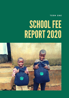**T E R M O N E**

## SCHOOL FEE REPORT2020

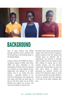

## BACKGROUND

Rays of Hope Hospice Jinja (RHHJ) provides palliative care to patients with life-threatening or life-limiting illness in the Busoga Region.

Friends of Reach Out (FORO) has been a wonderful support to RHHJ, since 2016. FORO has been influential in the development of RHHJ, which has allowed us to expand our social support services significantly and allowed us to offer holistic care to our clients and their families - especially children in our School Fee Programme. Your support has also meant that RHHJ has been able to grow to the level where we can further develop and expand our services, and reach more children in need of care.

We believe that clinical and psychosocial support work hand-in-hand to improve a patient's quality of life. Our School Fees Program plays an essential role in psychosocial care because it provides relief to patients who are unable to send their children to school, due to their extreme poverty, and the financial burden their illnesses place on them and their entire family. In addition to alleviating our patients' worries, the School Fee Programme hopes to break the cycle of poverty by giving children a chance to continue with their education in the face of the other hardships they face.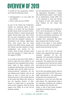## OVERVIEW OF 2019

To qualify for this programme, children must meet the following criteria:

- Parent/guardian is or was under the care of RHHJ
- Child is under the care of RHHJ

As part of the School Fee Programme, children are monitored either at their schools, or at home. We have planned, periodic checks which are meant to help keep the children in school and get good grades. During these visits, their school fees are paid, counselling is done with each child and scholastic materials are distributed to the children. Additionally, these visits ensure that the social workers from RHHJ interact equally with the children and their teachers to foster collaboration and success for the children. None of these activities would have been possible if it hadn't been for the support of FORO.

As we come to the end of 2019, RHHJ is proud to report that nine children in our programme have completed their primary levels. Some of these students, with exceptional performances will be joining secondary level and the others will join tertiary/vocational institutions. We are also helping some students, who are not doing as well in school due to the distress they face in their homes because of the illness that affects their family, to join the boarding sections of their schools to enable them to concentrate more on their academics. With the loving support from FORO, all of this will be perfectly realized.

For easy identification of all the children, the organization developed a unique child identification system. Each student has an identification number (IPN). This is very important to track and monitor the progress of each child among the many children on the school fees program.

A total of 99 children were supported in Term 1 out of the planned 112. Of those, 93 children managed to complete term one with an examination assessment. The six children who did not manage to complete their assessment had either been moved by their families to areas outside of the region, or were patients themselves and were not well enough to attend school during the first term.

In term two, 105 of the 112 planned children were supported with tuition and scholastic materials. Of the 105 supported, 104 successfully finished the term with an end of term examination assessment. The student who was unable to complete the term had lost her mother and could not sit for end of term 2 exams during the bereavement.

End of term two grading reports show an average overall mark of 53%. There was a slight improvement in the performance during term two compared to the performance in term one from 48% (see table below). This improvement means a lot, especially considering the problems these students face, like their own illness, or that of their family members, while they are trying to focus on their studies.